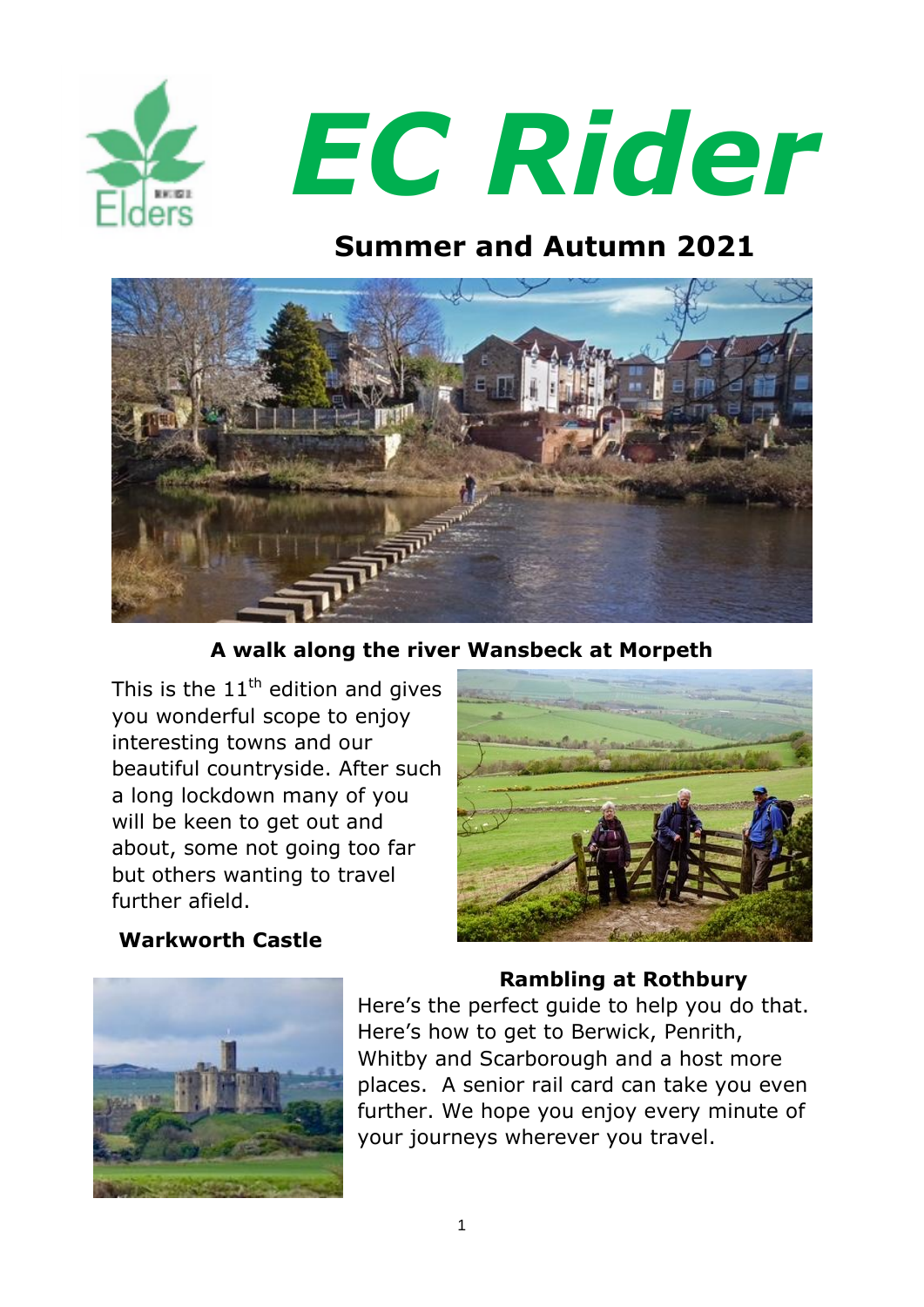

# *EC Rider*

# **Summer and Autumn 2021**



**A walk along the river Wansbeck at Morpeth**

This is the  $11<sup>th</sup>$  edition and gives you wonderful scope to enjoy interesting towns and our beautiful countryside. After such a long lockdown many of you will be keen to get out and about, some not going too far but others wanting to travel further afield.

#### **Warkworth Castle**



### **Rambling at Rothbury**

Here's the perfect guide to help you do that. Here's how to get to Berwick, Penrith, Whitby and Scarborough and a host more places. A senior rail card can take you even further. We hope you enjoy every minute of your journeys wherever you travel.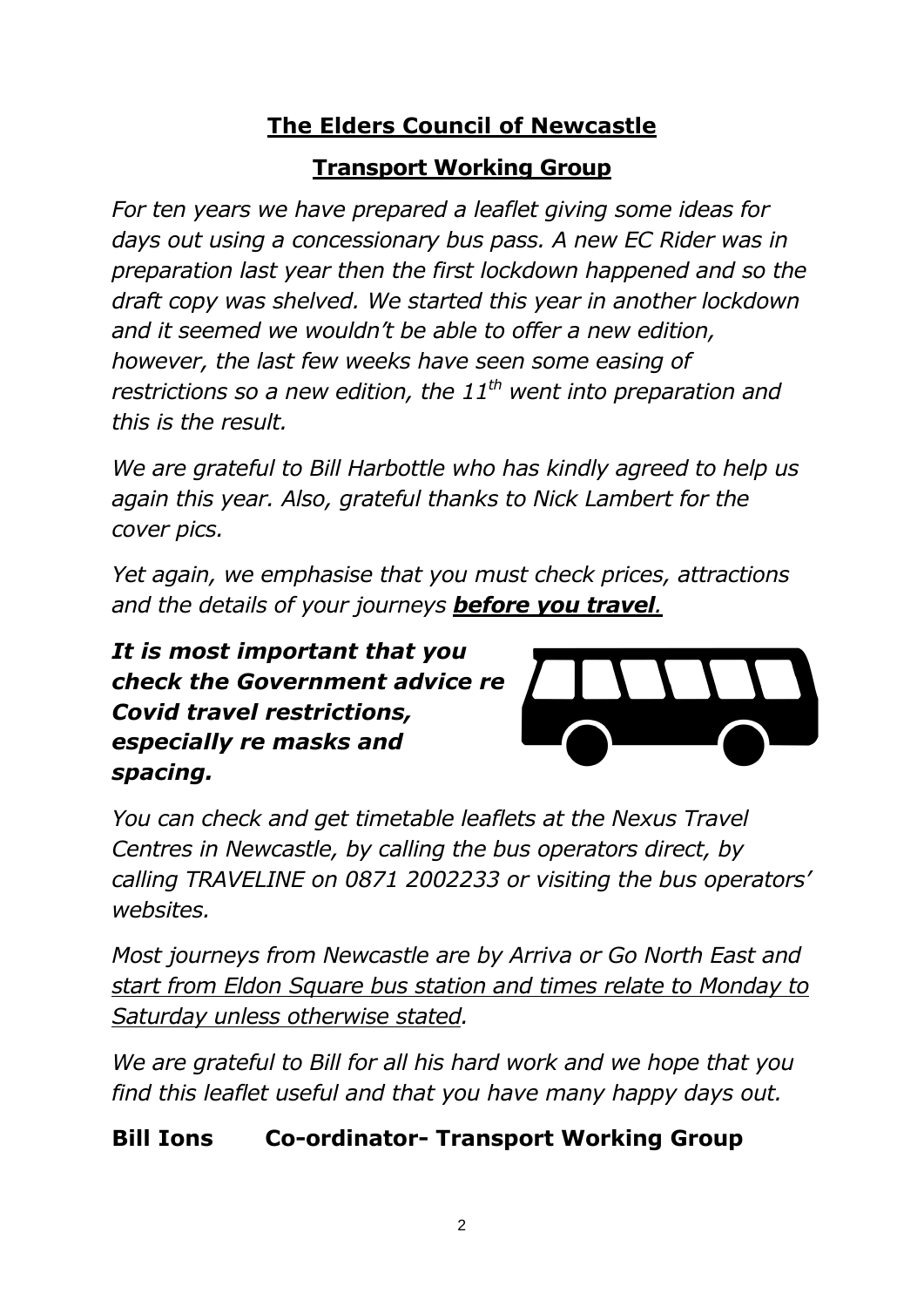# **The Elders Council of Newcastle**

# **Transport Working Group**

*For ten years we have prepared a leaflet giving some ideas for days out using a concessionary bus pass. A new EC Rider was in preparation last year then the first lockdown happened and so the draft copy was shelved. We started this year in another lockdown and it seemed we wouldn't be able to offer a new edition, however, the last few weeks have seen some easing of restrictions so a new edition, the 11th went into preparation and this is the result.*

*We are grateful to Bill Harbottle who has kindly agreed to help us again this year. Also, grateful thanks to Nick Lambert for the cover pics.* 

*Yet again, we emphasise that you must check prices, attractions and the details of your journeys before you travel.* 

*It is most important that you check the Government advice re Covid travel restrictions, especially re masks and spacing.*



*You can check and get timetable leaflets at the Nexus Travel Centres in Newcastle, by calling the bus operators direct, by calling TRAVELINE on 0871 2002233 or visiting the bus operators' websites.*

*Most journeys from Newcastle are by Arriva or Go North East and start from Eldon Square bus station and times relate to Monday to Saturday unless otherwise stated.* 

*We are grateful to Bill for all his hard work and we hope that you find this leaflet useful and that you have many happy days out.* 

# **Bill Ions Co-ordinator- Transport Working Group**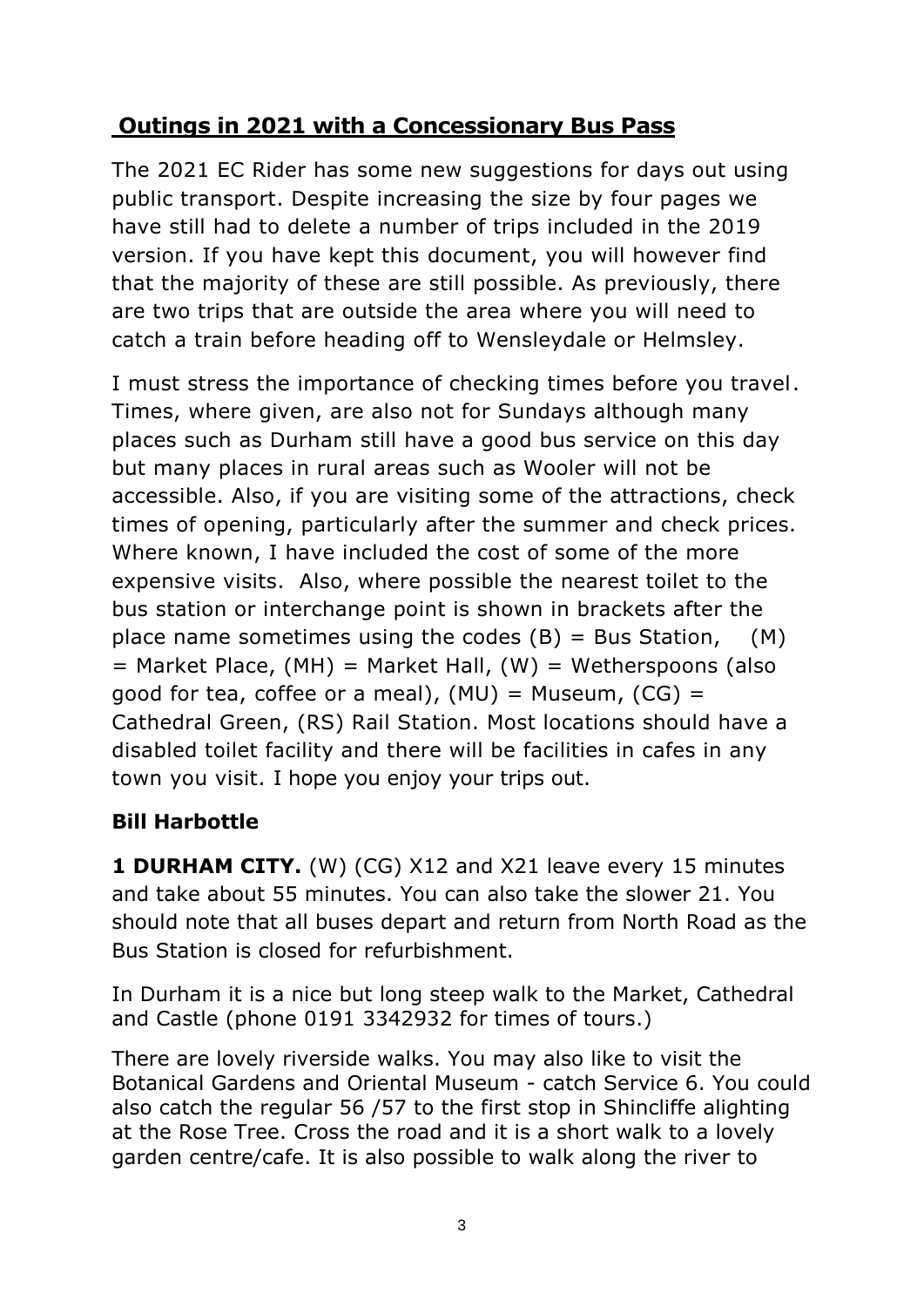# **Outings in 2021 with a Concessionary Bus Pass**

The 2021 EC Rider has some new suggestions for days out using public transport. Despite increasing the size by four pages we have still had to delete a number of trips included in the 2019 version. If you have kept this document, you will however find that the majority of these are still possible. As previously, there are two trips that are outside the area where you will need to catch a train before heading off to Wensleydale or Helmsley.

I must stress the importance of checking times before you travel. Times, where given, are also not for Sundays although many places such as Durham still have a good bus service on this day but many places in rural areas such as Wooler will not be accessible. Also, if you are visiting some of the attractions, check times of opening, particularly after the summer and check prices. Where known, I have included the cost of some of the more expensive visits. Also, where possible the nearest toilet to the bus station or interchange point is shown in brackets after the place name sometimes using the codes  $(B)$  = Bus Station,  $(M)$  $=$  Market Place, (MH) = Market Hall, (W) = Wetherspoons (also good for tea, coffee or a meal),  $(MU) = Museum$ ,  $(CG) =$ Cathedral Green, (RS) Rail Station. Most locations should have a disabled toilet facility and there will be facilities in cafes in any town you visit. I hope you enjoy your trips out.

# **Bill Harbottle**

**1 DURHAM CITY.** (W) (CG) X12 and X21 leave every 15 minutes and take about 55 minutes. You can also take the slower 21. You should note that all buses depart and return from North Road as the Bus Station is closed for refurbishment.

In Durham it is a nice but long steep walk to the Market, Cathedral and Castle (phone 0191 3342932 for times of tours.)

There are lovely riverside walks. You may also like to visit the Botanical Gardens and Oriental Museum - catch Service 6. You could also catch the regular 56 /57 to the first stop in Shincliffe alighting at the Rose Tree. Cross the road and it is a short walk to a lovely garden centre/cafe. It is also possible to walk along the river to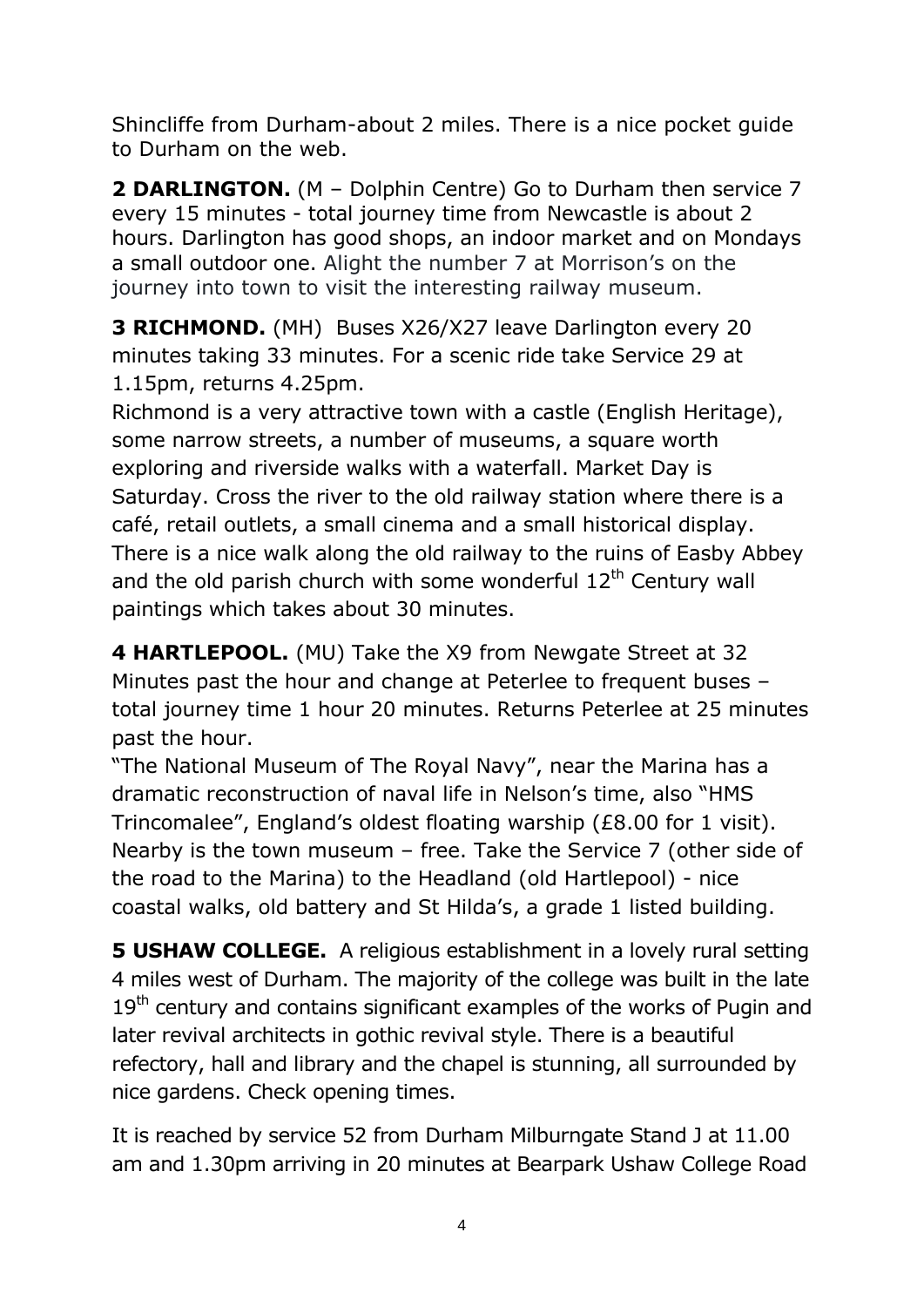Shincliffe from Durham-about 2 miles. There is a nice pocket guide to Durham on the web.

**2 DARLINGTON.** (M – Dolphin Centre) Go to Durham then service 7 every 15 minutes - total journey time from Newcastle is about 2 hours. Darlington has good shops, an indoor market and on Mondays a small outdoor one. Alight the number 7 at Morrison's on the journey into town to visit the interesting railway museum.

**3 RICHMOND.** (MH) Buses X26/X27 leave Darlington every 20 minutes taking 33 minutes. For a scenic ride take Service 29 at 1.15pm, returns 4.25pm.

Richmond is a very attractive town with a castle (English Heritage), some narrow streets, a number of museums, a square worth exploring and riverside walks with a waterfall. Market Day is Saturday. Cross the river to the old railway station where there is a café, retail outlets, a small cinema and a small historical display. There is a nice walk along the old railway to the ruins of Easby Abbey and the old parish church with some wonderful  $12<sup>th</sup>$  Century wall paintings which takes about 30 minutes.

**4 HARTLEPOOL.** (MU) Take the X9 from Newgate Street at 32 Minutes past the hour and change at Peterlee to frequent buses – total journey time 1 hour 20 minutes. Returns Peterlee at 25 minutes past the hour.

"The National Museum of The Royal Navy", near the Marina has a dramatic reconstruction of naval life in Nelson's time, also "HMS Trincomalee", England's oldest floating warship (£8.00 for 1 visit). Nearby is the town museum – free. Take the Service 7 (other side of the road to the Marina) to the Headland (old Hartlepool) - nice coastal walks, old battery and St Hilda's, a grade 1 listed building.

**5 USHAW COLLEGE.** A religious establishment in a lovely rural setting 4 miles west of Durham. The majority of the college was built in the late  $19<sup>th</sup>$  century and contains significant examples of the works of Pugin and later revival architects in gothic revival style. There is a beautiful refectory, hall and library and the chapel is stunning, all surrounded by nice gardens. Check opening times.

It is reached by service 52 from Durham Milburngate Stand J at 11.00 am and 1.30pm arriving in 20 minutes at Bearpark Ushaw College Road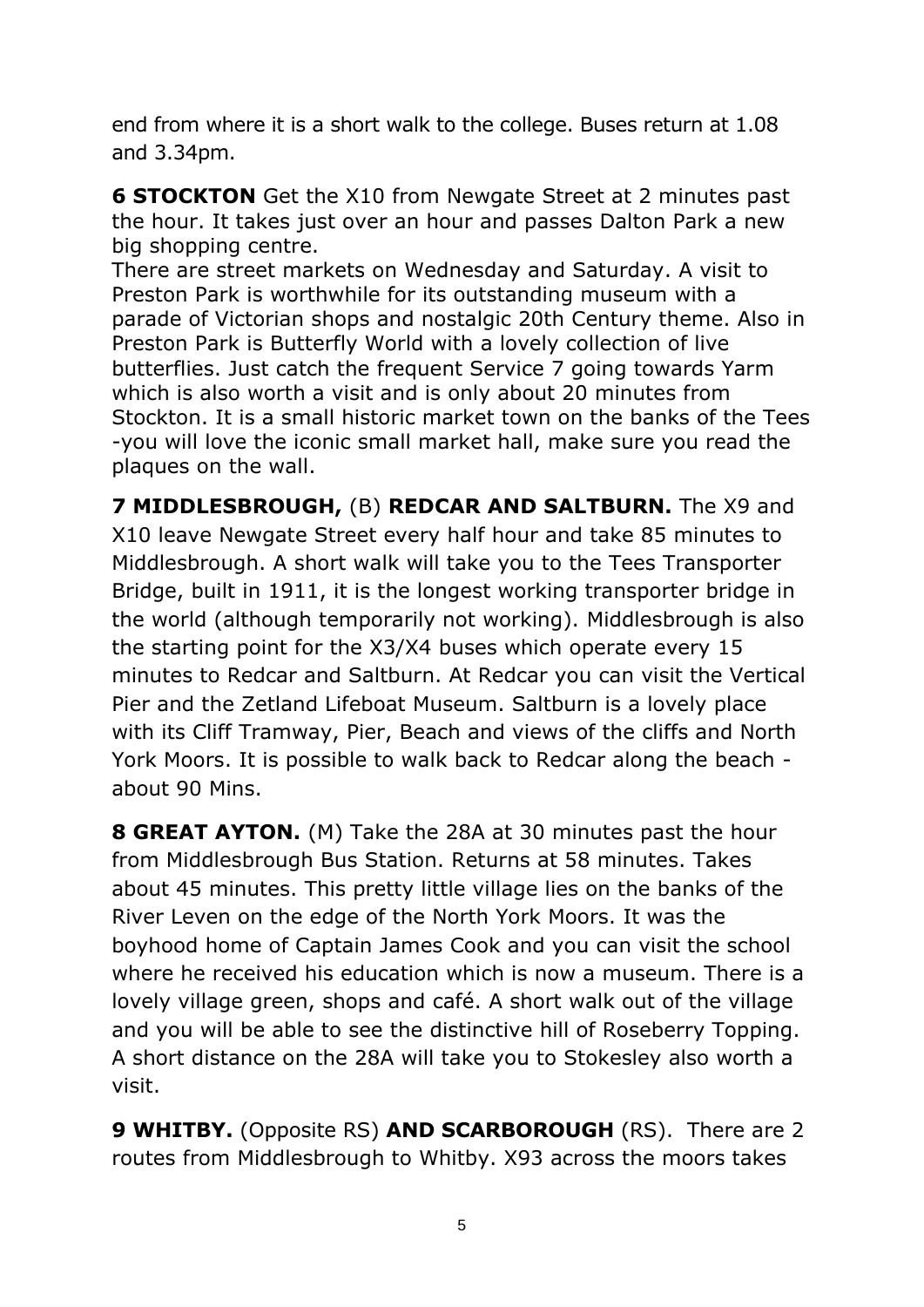end from where it is a short walk to the college. Buses return at 1.08 and 3.34pm.

**6 STOCKTON** Get the X10 from Newgate Street at 2 minutes past the hour. It takes just over an hour and passes Dalton Park a new big shopping centre.

There are street markets on Wednesday and Saturday. A visit to Preston Park is worthwhile for its outstanding museum with a parade of Victorian shops and nostalgic 20th Century theme. Also in Preston Park is Butterfly World with a lovely collection of live butterflies. Just catch the frequent Service 7 going towards Yarm which is also worth a visit and is only about 20 minutes from Stockton. It is a small historic market town on the banks of the Tees -you will love the iconic small market hall, make sure you read the plaques on the wall.

**7 MIDDLESBROUGH,** (B) **REDCAR AND SALTBURN.** The X9 and X10 leave Newgate Street every half hour and take 85 minutes to Middlesbrough. A short walk will take you to the Tees Transporter Bridge, built in 1911, it is the longest working transporter bridge in the world (although temporarily not working). Middlesbrough is also the starting point for the X3/X4 buses which operate every 15 minutes to Redcar and Saltburn. At Redcar you can visit the Vertical Pier and the Zetland Lifeboat Museum. Saltburn is a lovely place with its Cliff Tramway, Pier, Beach and views of the cliffs and North York Moors. It is possible to walk back to Redcar along the beach about 90 Mins.

**8 GREAT AYTON.** (M) Take the 28A at 30 minutes past the hour from Middlesbrough Bus Station. Returns at 58 minutes. Takes about 45 minutes. This pretty little village lies on the banks of the River Leven on the edge of the North York Moors. It was the boyhood home of Captain James Cook and you can visit the school where he received his education which is now a museum. There is a lovely village green, shops and café. A short walk out of the village and you will be able to see the distinctive hill of Roseberry Topping. A short distance on the 28A will take you to Stokesley also worth a visit.

**9 WHITBY.** (Opposite RS) **AND SCARBOROUGH** (RS). There are 2 routes from Middlesbrough to Whitby. X93 across the moors takes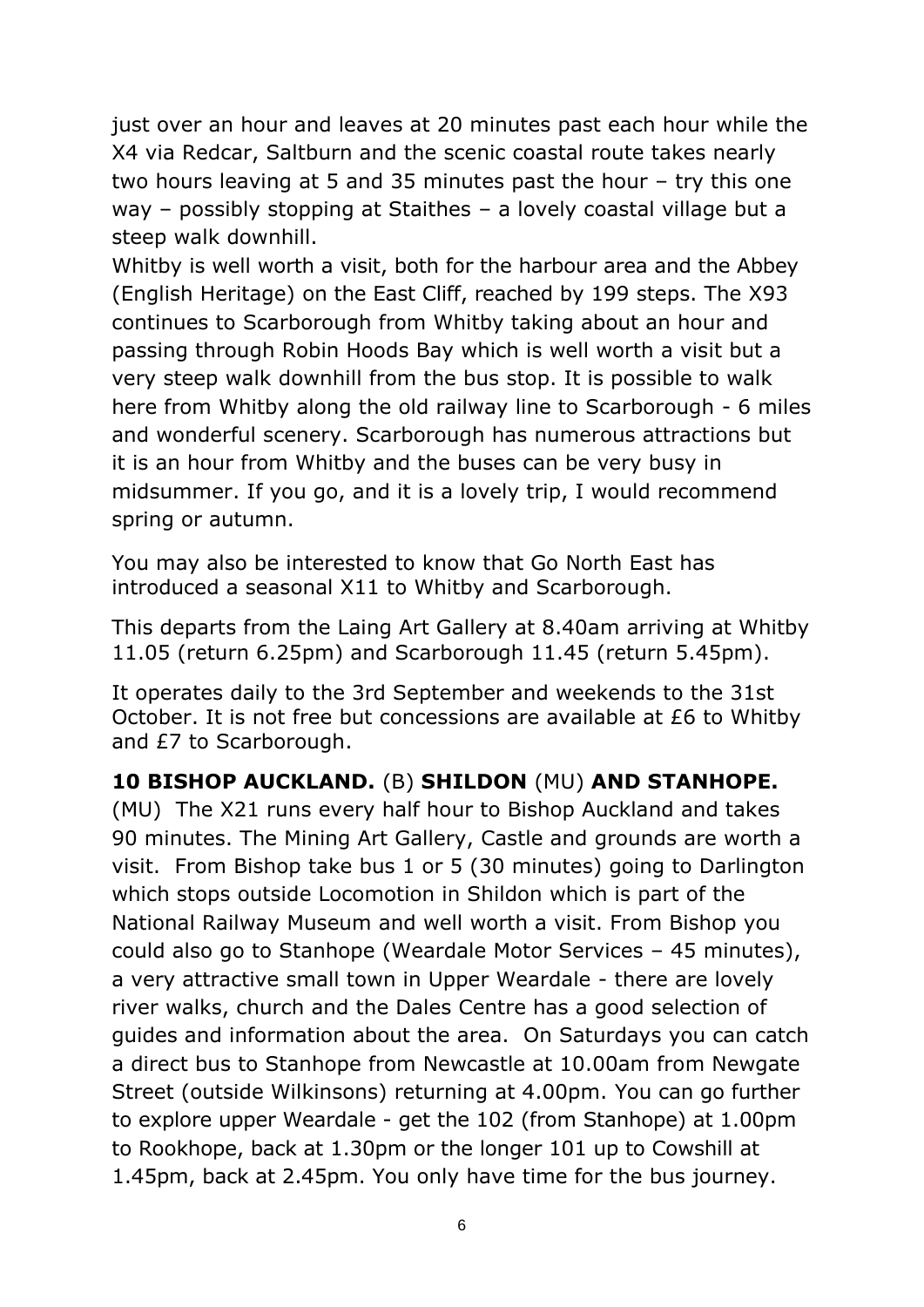just over an hour and leaves at 20 minutes past each hour while the X4 via Redcar, Saltburn and the scenic coastal route takes nearly two hours leaving at 5 and 35 minutes past the hour – try this one way – possibly stopping at Staithes – a lovely coastal village but a steep walk downhill.

Whitby is well worth a visit, both for the harbour area and the Abbey (English Heritage) on the East Cliff, reached by 199 steps. The X93 continues to Scarborough from Whitby taking about an hour and passing through Robin Hoods Bay which is well worth a visit but a very steep walk downhill from the bus stop. It is possible to walk here from Whitby along the old railway line to Scarborough - 6 miles and wonderful scenery. Scarborough has numerous attractions but it is an hour from Whitby and the buses can be very busy in midsummer. If you go, and it is a lovely trip, I would recommend spring or autumn.

You may also be interested to know that Go North East has introduced a seasonal X11 to Whitby and Scarborough.

This departs from the Laing Art Gallery at 8.40am arriving at Whitby 11.05 (return 6.25pm) and Scarborough 11.45 (return 5.45pm).

It operates daily to the 3rd September and weekends to the 31st October. It is not free but concessions are available at £6 to Whitby and £7 to Scarborough.

# **10 BISHOP AUCKLAND.** (B) **SHILDON** (MU) **AND STANHOPE.**

(MU) The X21 runs every half hour to Bishop Auckland and takes 90 minutes. The Mining Art Gallery, Castle and grounds are worth a visit. From Bishop take bus 1 or 5 (30 minutes) going to Darlington which stops outside Locomotion in Shildon which is part of the National Railway Museum and well worth a visit. From Bishop you could also go to Stanhope (Weardale Motor Services – 45 minutes), a very attractive small town in Upper Weardale - there are lovely river walks, church and the Dales Centre has a good selection of guides and information about the area. On Saturdays you can catch a direct bus to Stanhope from Newcastle at 10.00am from Newgate Street (outside Wilkinsons) returning at 4.00pm. You can go further to explore upper Weardale - get the 102 (from Stanhope) at 1.00pm to Rookhope, back at 1.30pm or the longer 101 up to Cowshill at 1.45pm, back at 2.45pm. You only have time for the bus journey.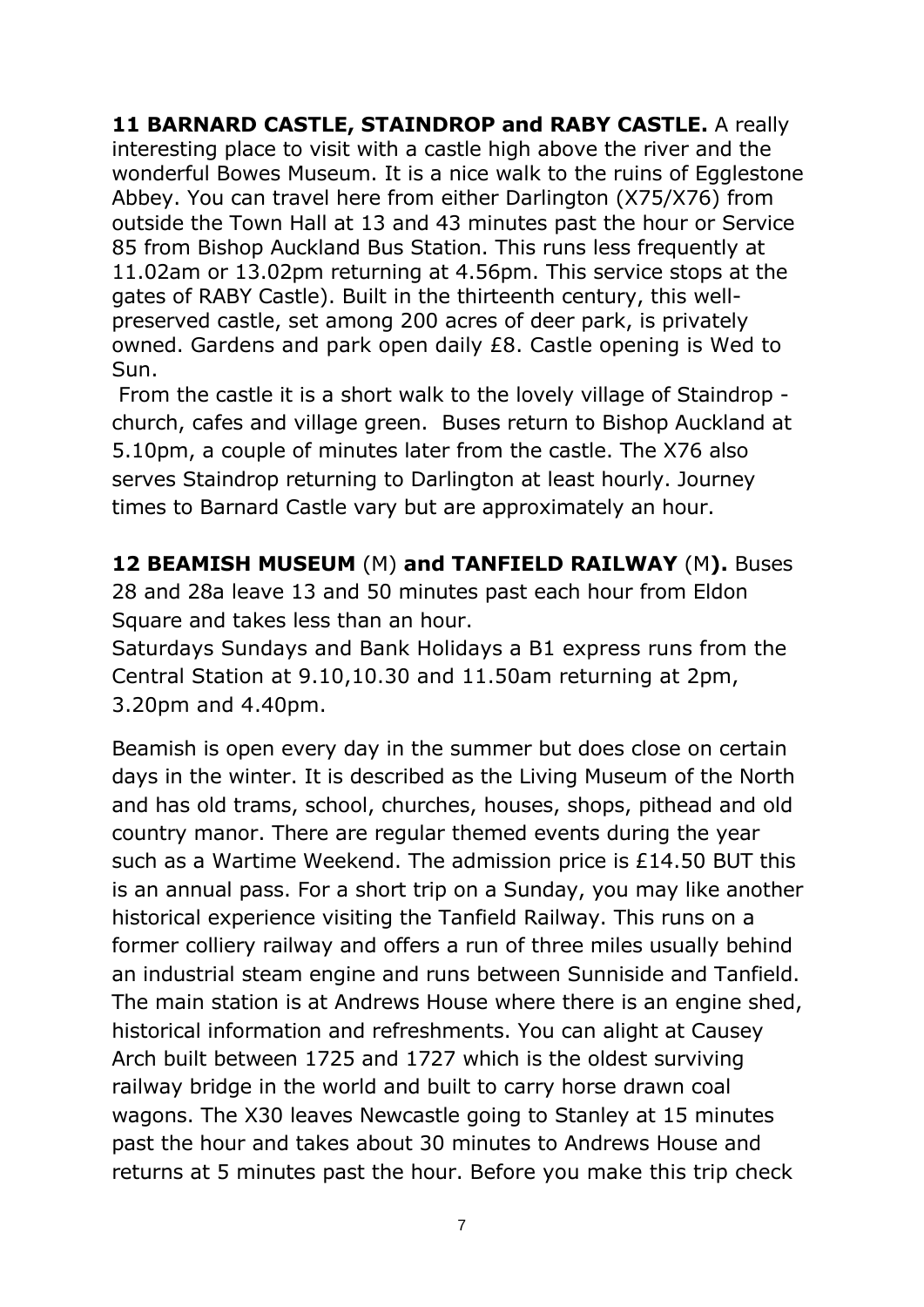**11 BARNARD CASTLE, STAINDROP and RABY CASTLE.** A really interesting place to visit with a castle high above the river and the wonderful Bowes Museum. It is a nice walk to the ruins of Egglestone Abbey. You can travel here from either Darlington (X75/X76) from outside the Town Hall at 13 and 43 minutes past the hour or Service 85 from Bishop Auckland Bus Station. This runs less frequently at 11.02am or 13.02pm returning at 4.56pm. This service stops at the gates of RABY Castle). Built in the thirteenth century, this wellpreserved castle, set among 200 acres of deer park, is privately owned. Gardens and park open daily £8. Castle opening is Wed to Sun.

From the castle it is a short walk to the lovely village of Staindrop church, cafes and village green. Buses return to Bishop Auckland at 5.10pm, a couple of minutes later from the castle. The X76 also serves Staindrop returning to Darlington at least hourly. Journey times to Barnard Castle vary but are approximately an hour.

**12 BEAMISH MUSEUM** (M) **and TANFIELD RAILWAY** (M**).** Buses 28 and 28a leave 13 and 50 minutes past each hour from Eldon Square and takes less than an hour.

Saturdays Sundays and Bank Holidays a B1 express runs from the Central Station at 9.10,10.30 and 11.50am returning at 2pm, 3.20pm and 4.40pm.

Beamish is open every day in the summer but does close on certain days in the winter. It is described as the Living Museum of the North and has old trams, school, churches, houses, shops, pithead and old country manor. There are regular themed events during the year such as a Wartime Weekend. The admission price is £14.50 BUT this is an annual pass. For a short trip on a Sunday, you may like another historical experience visiting the Tanfield Railway. This runs on a former colliery railway and offers a run of three miles usually behind an industrial steam engine and runs between Sunniside and Tanfield. The main station is at Andrews House where there is an engine shed, historical information and refreshments. You can alight at Causey Arch built between 1725 and 1727 which is the oldest surviving railway bridge in the world and built to carry horse drawn coal wagons. The X30 leaves Newcastle going to Stanley at 15 minutes past the hour and takes about 30 minutes to Andrews House and returns at 5 minutes past the hour. Before you make this trip check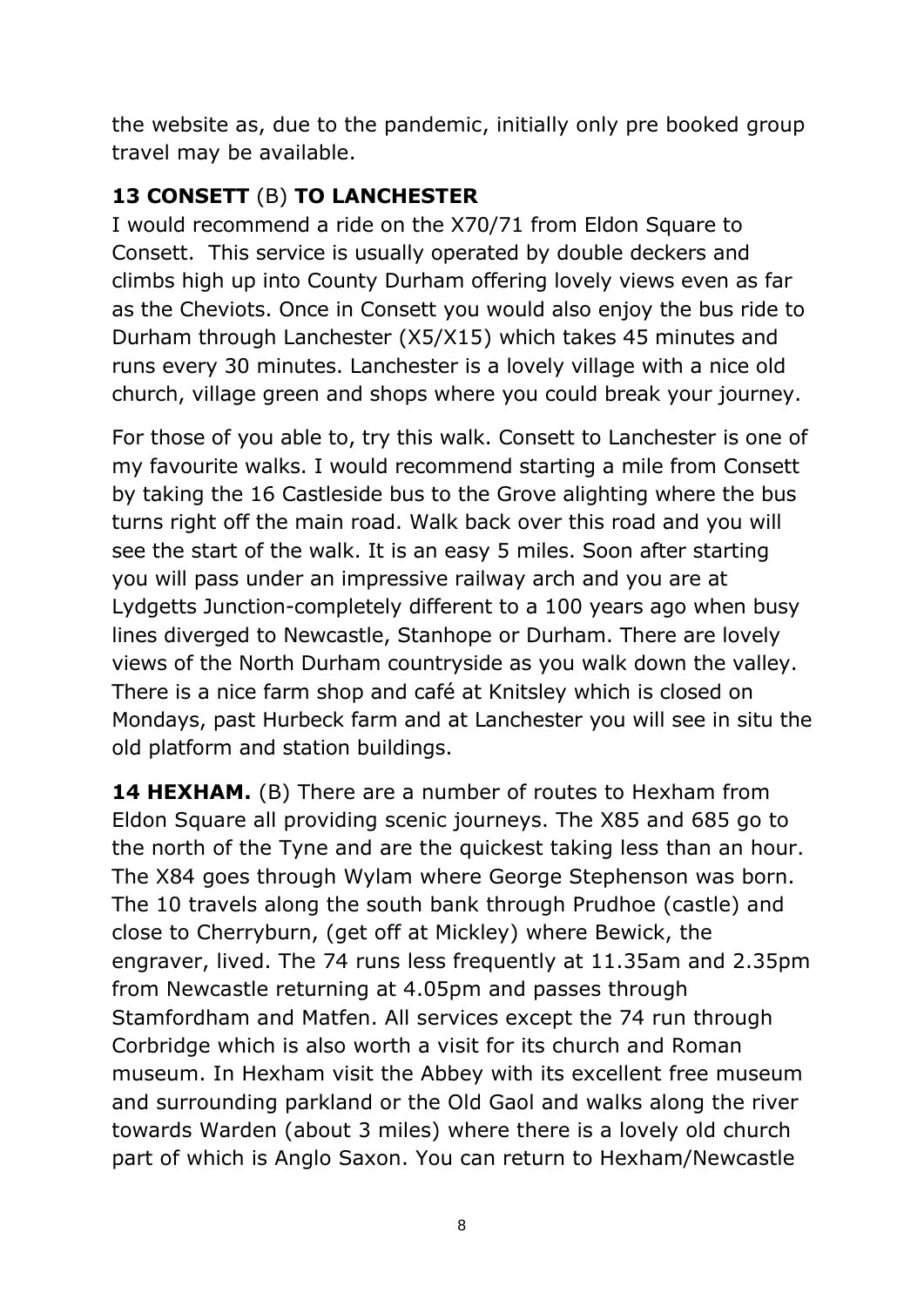the website as, due to the pandemic, initially only pre booked group travel may be available.

## **13 CONSETT** (B) **TO LANCHESTER**

I would recommend a ride on the X70/71 from Eldon Square to Consett. This service is usually operated by double deckers and climbs high up into County Durham offering lovely views even as far as the Cheviots. Once in Consett you would also enjoy the bus ride to Durham through Lanchester (X5/X15) which takes 45 minutes and runs every 30 minutes. Lanchester is a lovely village with a nice old church, village green and shops where you could break your journey.

For those of you able to, try this walk. Consett to Lanchester is one of my favourite walks. I would recommend starting a mile from Consett by taking the 16 Castleside bus to the Grove alighting where the bus turns right off the main road. Walk back over this road and you will see the start of the walk. It is an easy 5 miles. Soon after starting you will pass under an impressive railway arch and you are at Lydgetts Junction-completely different to a 100 years ago when busy lines diverged to Newcastle, Stanhope or Durham. There are lovely views of the North Durham countryside as you walk down the valley. There is a nice farm shop and café at Knitsley which is closed on Mondays, past Hurbeck farm and at Lanchester you will see in situ the old platform and station buildings.

**14 HEXHAM.** (B) There are a number of routes to Hexham from Eldon Square all providing scenic journeys. The X85 and 685 go to the north of the Tyne and are the quickest taking less than an hour. The X84 goes through Wylam where George Stephenson was born. The 10 travels along the south bank through Prudhoe (castle) and close to Cherryburn, (get off at Mickley) where Bewick, the engraver, lived. The 74 runs less frequently at 11.35am and 2.35pm from Newcastle returning at 4.05pm and passes through Stamfordham and Matfen. All services except the 74 run through Corbridge which is also worth a visit for its church and Roman museum. In Hexham visit the Abbey with its excellent free museum and surrounding parkland or the Old Gaol and walks along the river towards Warden (about 3 miles) where there is a lovely old church part of which is Anglo Saxon. You can return to Hexham/Newcastle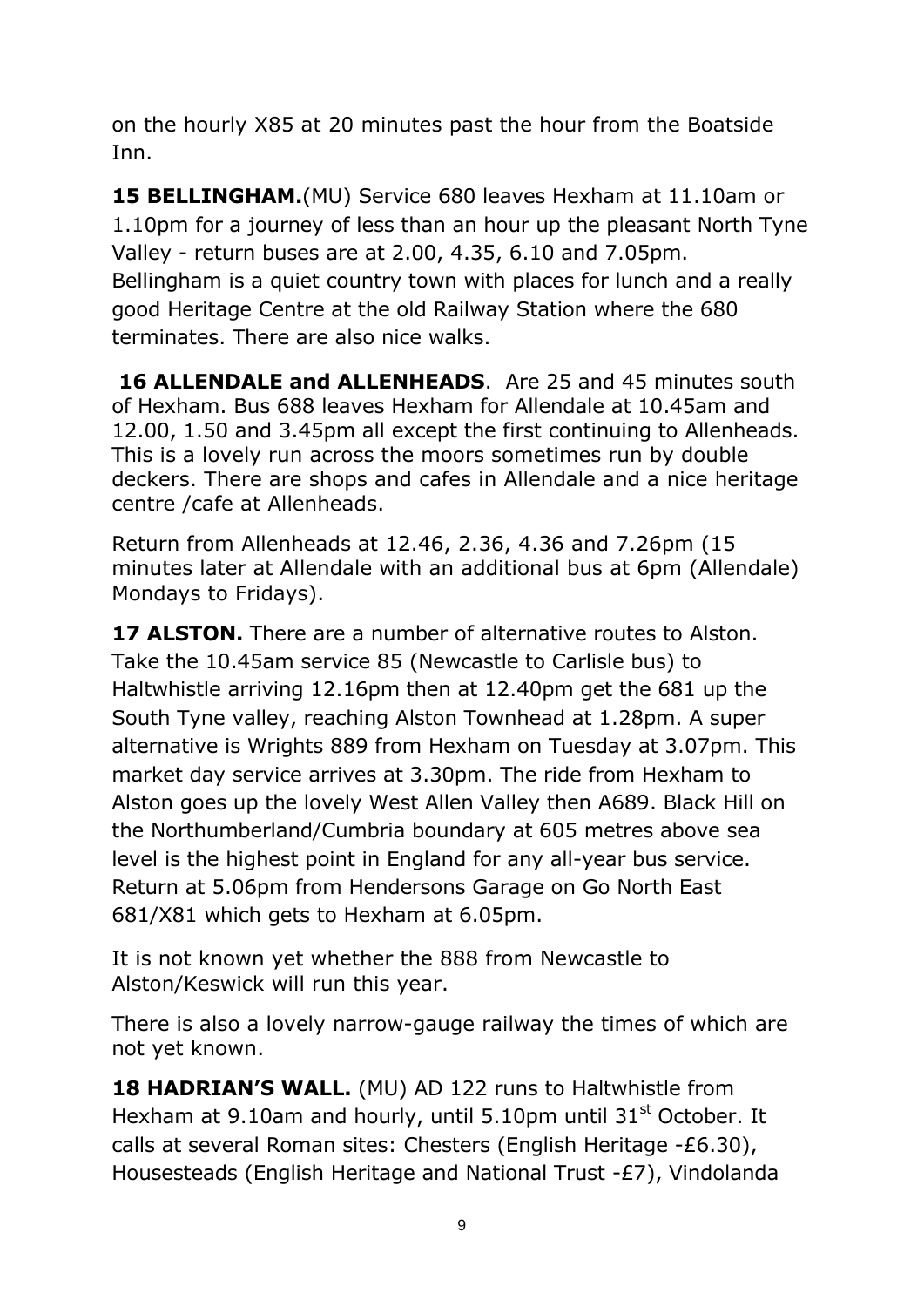on the hourly X85 at 20 minutes past the hour from the Boatside Inn.

**15 BELLINGHAM.**(MU) Service 680 leaves Hexham at 11.10am or 1.10pm for a journey of less than an hour up the pleasant North Tyne Valley - return buses are at 2.00, 4.35, 6.10 and 7.05pm. Bellingham is a quiet country town with places for lunch and a really good Heritage Centre at the old Railway Station where the 680 terminates. There are also nice walks.

**16 ALLENDALE and ALLENHEADS.** Are 25 and 45 minutes south of Hexham. Bus 688 leaves Hexham for Allendale at 10.45am and 12.00, 1.50 and 3.45pm all except the first continuing to Allenheads. This is a lovely run across the moors sometimes run by double deckers. There are shops and cafes in Allendale and a nice heritage centre /cafe at Allenheads.

Return from Allenheads at 12.46, 2.36, 4.36 and 7.26pm (15 minutes later at Allendale with an additional bus at 6pm (Allendale) Mondays to Fridays).

**17 ALSTON.** There are a number of alternative routes to Alston. Take the 10.45am service 85 (Newcastle to Carlisle bus) to Haltwhistle arriving 12.16pm then at 12.40pm get the 681 up the South Tyne valley, reaching Alston Townhead at 1.28pm. A super alternative is Wrights 889 from Hexham on Tuesday at 3.07pm. This market day service arrives at 3.30pm. The ride from Hexham to Alston goes up the lovely West Allen Valley then A689. Black Hill on the Northumberland/Cumbria boundary at 605 metres above sea level is the highest point in England for any all-year bus service. Return at 5.06pm from Hendersons Garage on Go North East 681/X81 which gets to Hexham at 6.05pm.

It is not known yet whether the 888 from Newcastle to Alston/Keswick will run this year.

There is also a lovely narrow-gauge railway the times of which are not yet known.

**18 HADRIAN'S WALL.** (MU) AD 122 runs to Haltwhistle from Hexham at 9.10am and hourly, until 5.10pm until  $31<sup>st</sup>$  October. It calls at several Roman sites: Chesters (English Heritage -£6.30), Housesteads (English Heritage and National Trust -£7), Vindolanda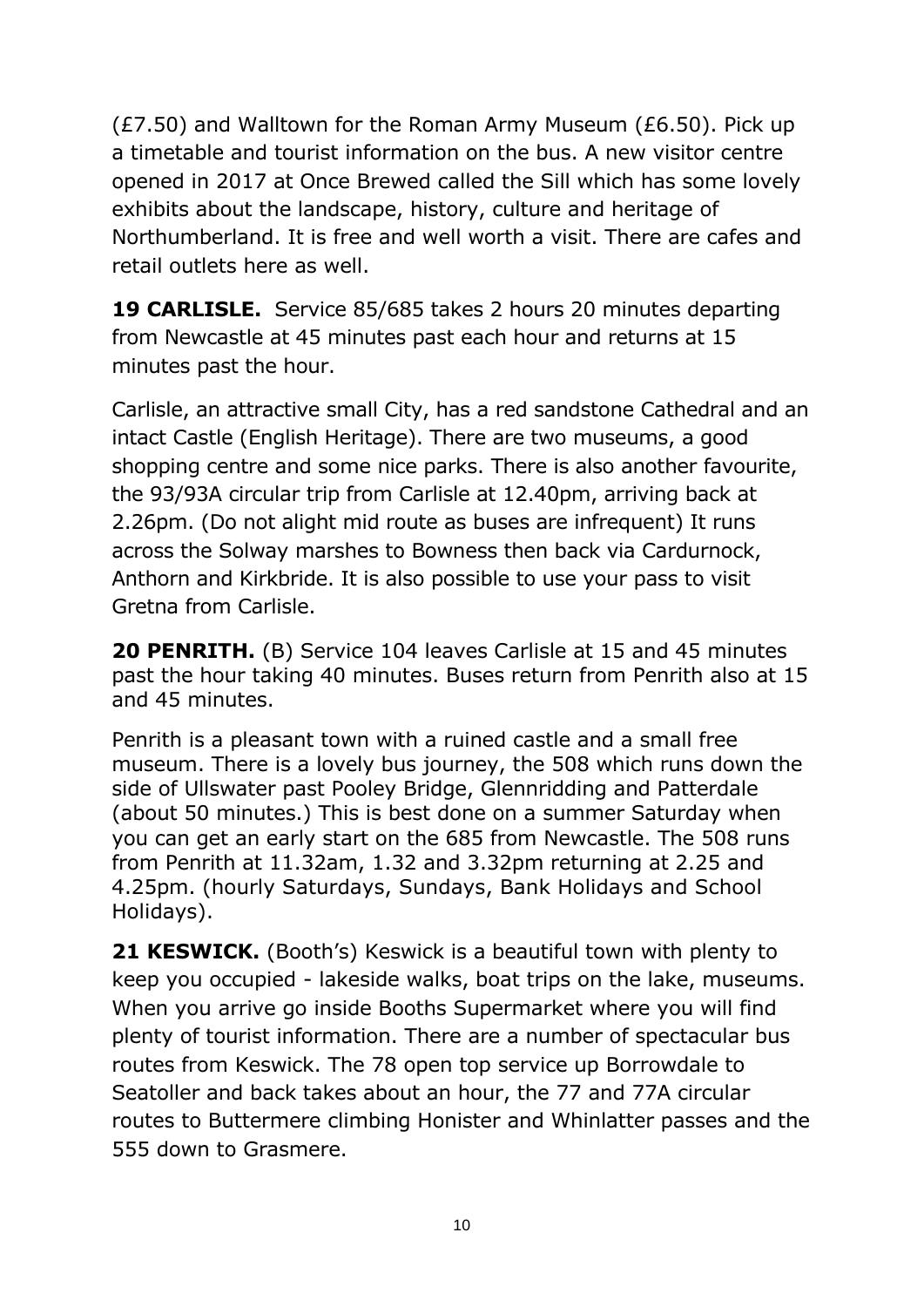(£7.50) and Walltown for the Roman Army Museum (£6.50). Pick up a timetable and tourist information on the bus. A new visitor centre opened in 2017 at Once Brewed called the Sill which has some lovely exhibits about the landscape, history, culture and heritage of Northumberland. It is free and well worth a visit. There are cafes and retail outlets here as well.

**19 CARLISLE.** Service 85/685 takes 2 hours 20 minutes departing from Newcastle at 45 minutes past each hour and returns at 15 minutes past the hour.

Carlisle, an attractive small City, has a red sandstone Cathedral and an intact Castle (English Heritage). There are two museums, a good shopping centre and some nice parks. There is also another favourite, the 93/93A circular trip from Carlisle at 12.40pm, arriving back at 2.26pm. (Do not alight mid route as buses are infrequent) It runs across the Solway marshes to Bowness then back via Cardurnock, Anthorn and Kirkbride. It is also possible to use your pass to visit Gretna from Carlisle.

**20 PENRITH.** (B) Service 104 leaves Carlisle at 15 and 45 minutes past the hour taking 40 minutes. Buses return from Penrith also at 15 and 45 minutes.

Penrith is a pleasant town with a ruined castle and a small free museum. There is a lovely bus journey, the 508 which runs down the side of Ullswater past Pooley Bridge, Glennridding and Patterdale (about 50 minutes.) This is best done on a summer Saturday when you can get an early start on the 685 from Newcastle. The 508 runs from Penrith at 11.32am, 1.32 and 3.32pm returning at 2.25 and 4.25pm. (hourly Saturdays, Sundays, Bank Holidays and School Holidays).

**21 KESWICK.** (Booth's) Keswick is a beautiful town with plenty to keep you occupied - lakeside walks, boat trips on the lake, museums. When you arrive go inside Booths Supermarket where you will find plenty of tourist information. There are a number of spectacular bus routes from Keswick. The 78 open top service up Borrowdale to Seatoller and back takes about an hour, the 77 and 77A circular routes to Buttermere climbing Honister and Whinlatter passes and the 555 down to Grasmere.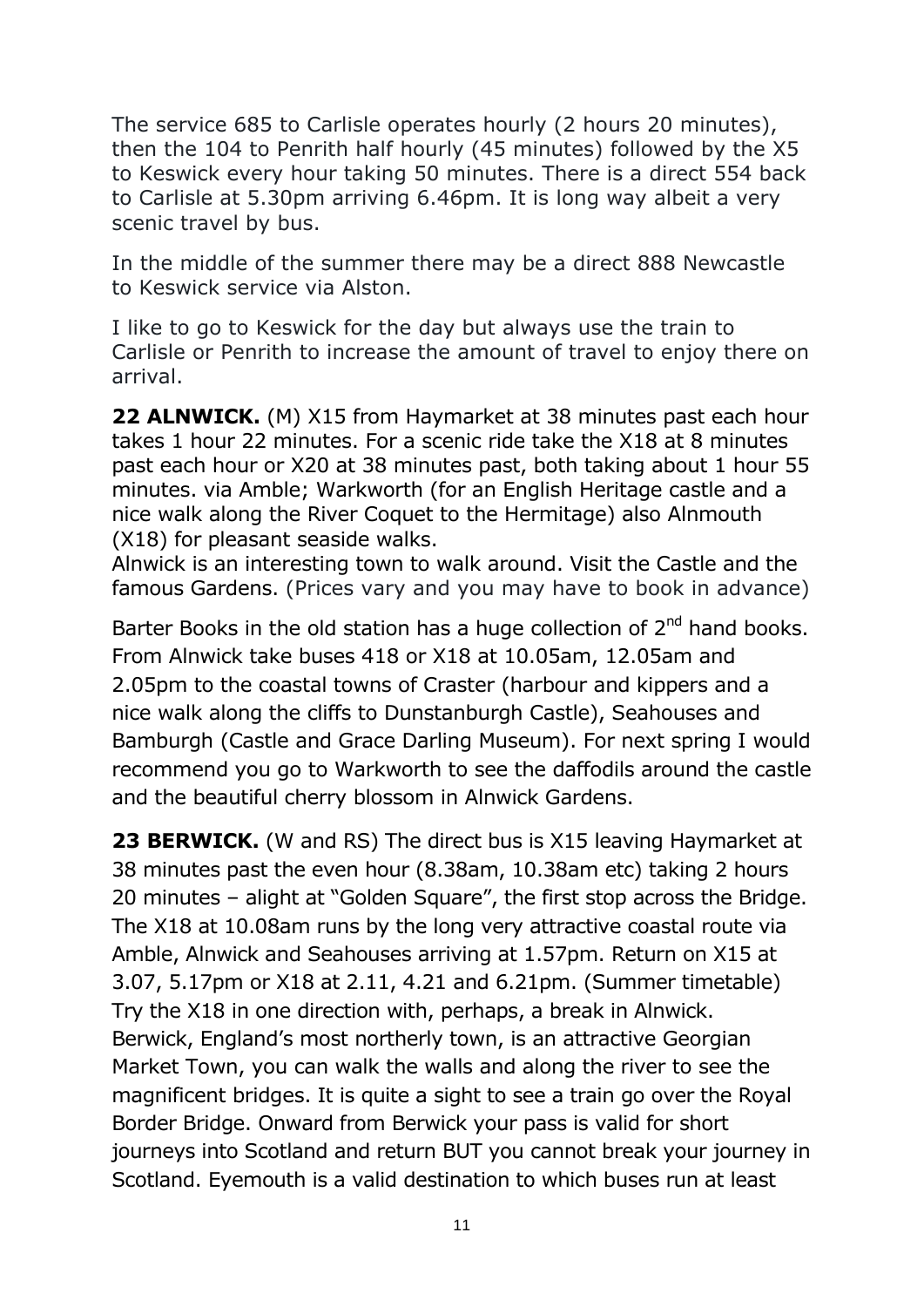The service 685 to Carlisle operates hourly (2 hours 20 minutes), then the 104 to Penrith half hourly (45 minutes) followed by the X5 to Keswick every hour taking 50 minutes. There is a direct 554 back to Carlisle at 5.30pm arriving 6.46pm. It is long way albeit a very scenic travel by bus.

In the middle of the summer there may be a direct 888 Newcastle to Keswick service via Alston.

I like to go to Keswick for the day but always use the train to Carlisle or Penrith to increase the amount of travel to enjoy there on arrival.

**22 ALNWICK.** (M) X15 from Haymarket at 38 minutes past each hour takes 1 hour 22 minutes. For a scenic ride take the X18 at 8 minutes past each hour or X20 at 38 minutes past, both taking about 1 hour 55 minutes. via Amble; Warkworth (for an English Heritage castle and a nice walk along the River Coquet to the Hermitage) also Alnmouth (X18) for pleasant seaside walks.

Alnwick is an interesting town to walk around. Visit the Castle and the famous Gardens. (Prices vary and you may have to book in advance)

Barter Books in the old station has a huge collection of  $2<sup>nd</sup>$  hand books. From Alnwick take buses 418 or X18 at 10.05am, 12.05am and 2.05pm to the coastal towns of Craster (harbour and kippers and a nice walk along the cliffs to Dunstanburgh Castle), Seahouses and Bamburgh (Castle and Grace Darling Museum). For next spring I would recommend you go to Warkworth to see the daffodils around the castle and the beautiful cherry blossom in Alnwick Gardens.

**23 BERWICK.** (W and RS) The direct bus is X15 leaving Haymarket at 38 minutes past the even hour (8.38am, 10.38am etc) taking 2 hours 20 minutes – alight at "Golden Square", the first stop across the Bridge. The X18 at 10.08am runs by the long very attractive coastal route via Amble, Alnwick and Seahouses arriving at 1.57pm. Return on X15 at 3.07, 5.17pm or X18 at 2.11, 4.21 and 6.21pm. (Summer timetable) Try the X18 in one direction with, perhaps, a break in Alnwick. Berwick, England's most northerly town, is an attractive Georgian Market Town, you can walk the walls and along the river to see the magnificent bridges. It is quite a sight to see a train go over the Royal Border Bridge. Onward from Berwick your pass is valid for short journeys into Scotland and return BUT you cannot break your journey in Scotland. Eyemouth is a valid destination to which buses run at least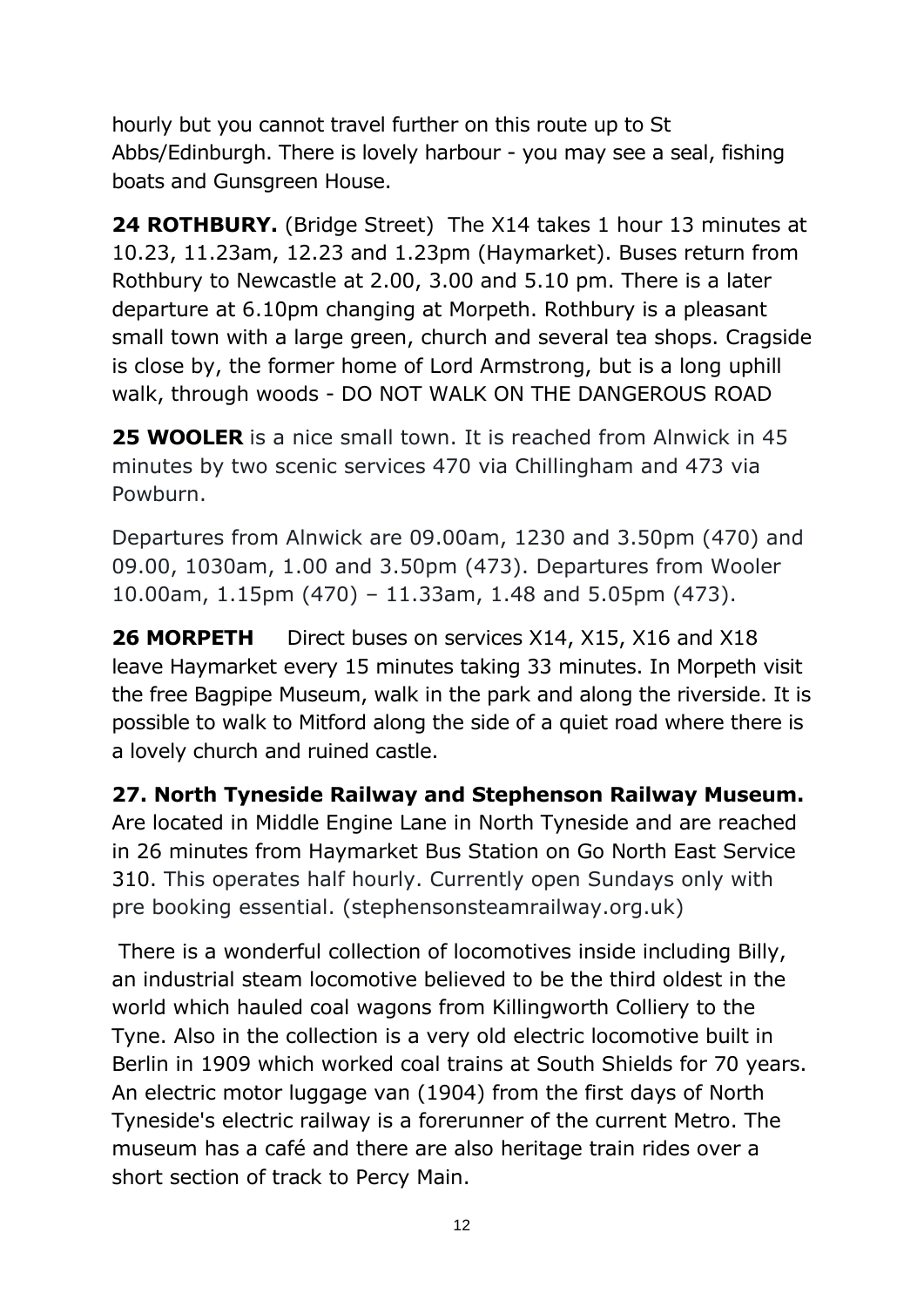hourly but you cannot travel further on this route up to St Abbs/Edinburgh. There is lovely harbour - you may see a seal, fishing boats and Gunsgreen House.

**24 ROTHBURY.** (Bridge Street) The X14 takes 1 hour 13 minutes at 10.23, 11.23am, 12.23 and 1.23pm (Haymarket). Buses return from Rothbury to Newcastle at 2.00, 3.00 and 5.10 pm. There is a later departure at 6.10pm changing at Morpeth. Rothbury is a pleasant small town with a large green, church and several tea shops. Cragside is close by, the former home of Lord Armstrong, but is a long uphill walk, through woods - DO NOT WALK ON THE DANGEROUS ROAD

**25 WOOLER** is a nice small town. It is reached from Alnwick in 45 minutes by two scenic services 470 via Chillingham and 473 via Powburn.

Departures from Alnwick are 09.00am, 1230 and 3.50pm (470) and 09.00, 1030am, 1.00 and 3.50pm (473). Departures from Wooler 10.00am, 1.15pm (470) – 11.33am, 1.48 and 5.05pm (473).

**26 MORPETH** Direct buses on services X14, X15, X16 and X18 leave Haymarket every 15 minutes taking 33 minutes. In Morpeth visit the free Bagpipe Museum, walk in the park and along the riverside. It is possible to walk to Mitford along the side of a quiet road where there is a lovely church and ruined castle.

**27. North Tyneside Railway and Stephenson Railway Museum.**  Are located in Middle Engine Lane in North Tyneside and are reached in 26 minutes from Haymarket Bus Station on Go North East Service 310. This operates half hourly. Currently open Sundays only with pre booking essential. (stephensonsteamrailway.org.uk)

There is a wonderful collection of locomotives inside including Billy, an industrial steam locomotive believed to be the third oldest in the world which hauled coal wagons from Killingworth Colliery to the Tyne. Also in the collection is a very old electric locomotive built in Berlin in 1909 which worked coal trains at South Shields for 70 years. An electric motor luggage van (1904) from the first days of North Tyneside's electric railway is a forerunner of the current Metro. The museum has a café and there are also heritage train rides over a short section of track to Percy Main.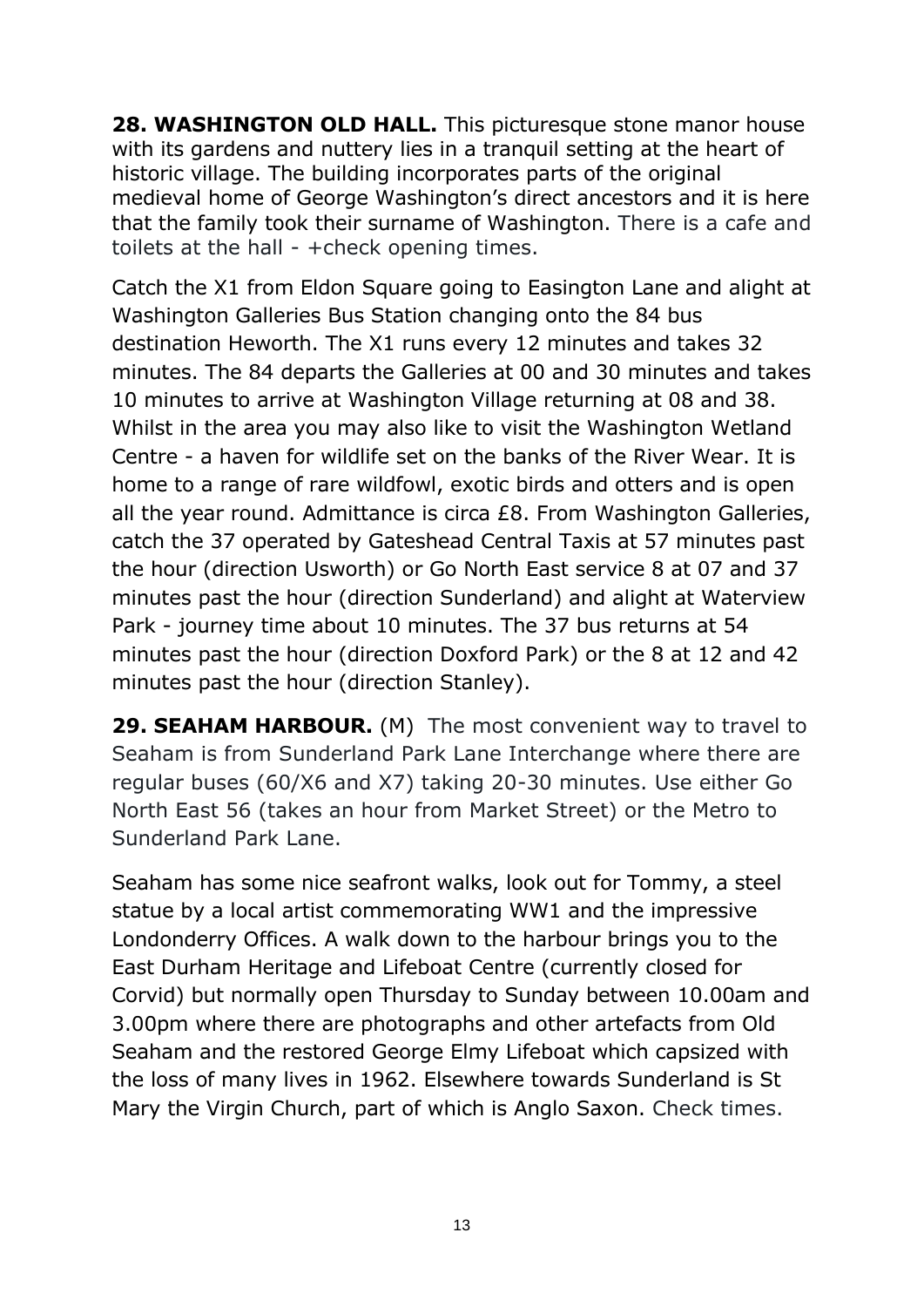**28. WASHINGTON OLD HALL.** This picturesque stone manor house with its gardens and nuttery lies in a tranquil setting at the heart of historic village. The building incorporates parts of the original medieval home of George Washington's direct ancestors and it is here that the family took their surname of Washington. There is a cafe and toilets at the hall - +check opening times.

Catch the X1 from Eldon Square going to Easington Lane and alight at Washington Galleries Bus Station changing onto the 84 bus destination Heworth. The X1 runs every 12 minutes and takes 32 minutes. The 84 departs the Galleries at 00 and 30 minutes and takes 10 minutes to arrive at Washington Village returning at 08 and 38. Whilst in the area you may also like to visit the Washington Wetland Centre - a haven for wildlife set on the banks of the River Wear. It is home to a range of rare wildfowl, exotic birds and otters and is open all the year round. Admittance is circa £8. From Washington Galleries, catch the 37 operated by Gateshead Central Taxis at 57 minutes past the hour (direction Usworth) or Go North East service 8 at 07 and 37 minutes past the hour (direction Sunderland) and alight at Waterview Park - journey time about 10 minutes. The 37 bus returns at 54 minutes past the hour (direction Doxford Park) or the 8 at 12 and 42 minutes past the hour (direction Stanley).

**29. SEAHAM HARBOUR.** (M) The most convenient way to travel to Seaham is from Sunderland Park Lane Interchange where there are regular buses (60/X6 and X7) taking 20-30 minutes. Use either Go North East 56 (takes an hour from Market Street) or the Metro to Sunderland Park Lane.

Seaham has some nice seafront walks, look out for Tommy, a steel statue by a local artist commemorating WW1 and the impressive Londonderry Offices. A walk down to the harbour brings you to the East Durham Heritage and Lifeboat Centre (currently closed for Corvid) but normally open Thursday to Sunday between 10.00am and 3.00pm where there are photographs and other artefacts from Old Seaham and the restored George Elmy Lifeboat which capsized with the loss of many lives in 1962. Elsewhere towards Sunderland is St Mary the Virgin Church, part of which is Anglo Saxon. Check times.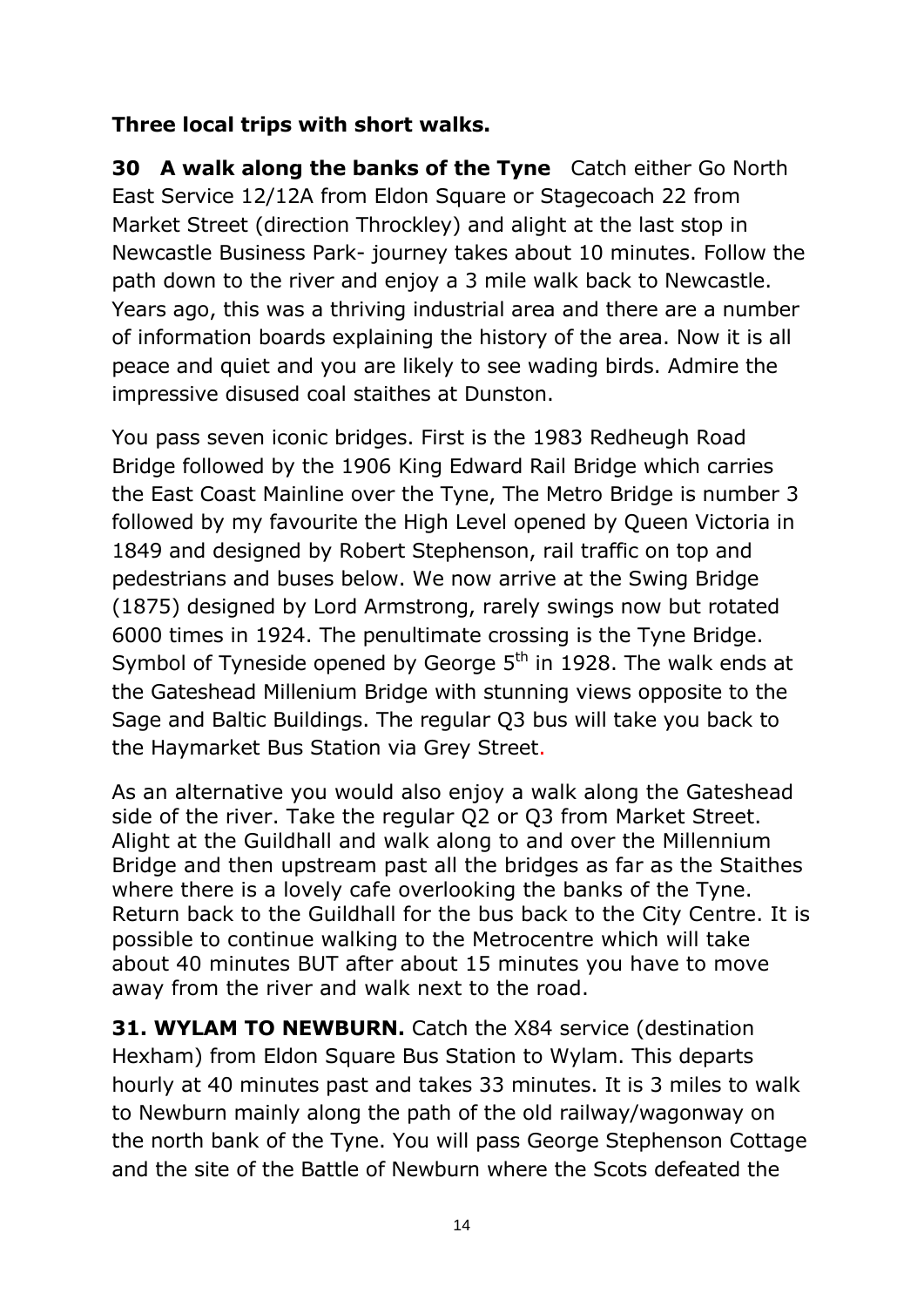### **Three local trips with short walks.**

**30 A walk along the banks of the Tyne** Catch either Go North East Service 12/12A from Eldon Square or Stagecoach 22 from Market Street (direction Throckley) and alight at the last stop in Newcastle Business Park- journey takes about 10 minutes. Follow the path down to the river and enjoy a 3 mile walk back to Newcastle. Years ago, this was a thriving industrial area and there are a number of information boards explaining the history of the area. Now it is all peace and quiet and you are likely to see wading birds. Admire the impressive disused coal staithes at Dunston.

You pass seven iconic bridges. First is the 1983 Redheugh Road Bridge followed by the 1906 King Edward Rail Bridge which carries the East Coast Mainline over the Tyne, The Metro Bridge is number 3 followed by my favourite the High Level opened by Queen Victoria in 1849 and designed by Robert Stephenson, rail traffic on top and pedestrians and buses below. We now arrive at the Swing Bridge (1875) designed by Lord Armstrong, rarely swings now but rotated 6000 times in 1924. The penultimate crossing is the Tyne Bridge. Symbol of Tyneside opened by George  $5<sup>th</sup>$  in 1928. The walk ends at the Gateshead Millenium Bridge with stunning views opposite to the Sage and Baltic Buildings. The regular Q3 bus will take you back to the Haymarket Bus Station via Grey Street.

As an alternative you would also enjoy a walk along the Gateshead side of the river. Take the regular Q2 or Q3 from Market Street. Alight at the Guildhall and walk along to and over the Millennium Bridge and then upstream past all the bridges as far as the Staithes where there is a lovely cafe overlooking the banks of the Tyne. Return back to the Guildhall for the bus back to the City Centre. It is possible to continue walking to the Metrocentre which will take about 40 minutes BUT after about 15 minutes you have to move away from the river and walk next to the road.

**31. WYLAM TO NEWBURN.** Catch the X84 service (destination Hexham) from Eldon Square Bus Station to Wylam. This departs hourly at 40 minutes past and takes 33 minutes. It is 3 miles to walk to Newburn mainly along the path of the old railway/wagonway on the north bank of the Tyne. You will pass George Stephenson Cottage and the site of the Battle of Newburn where the Scots defeated the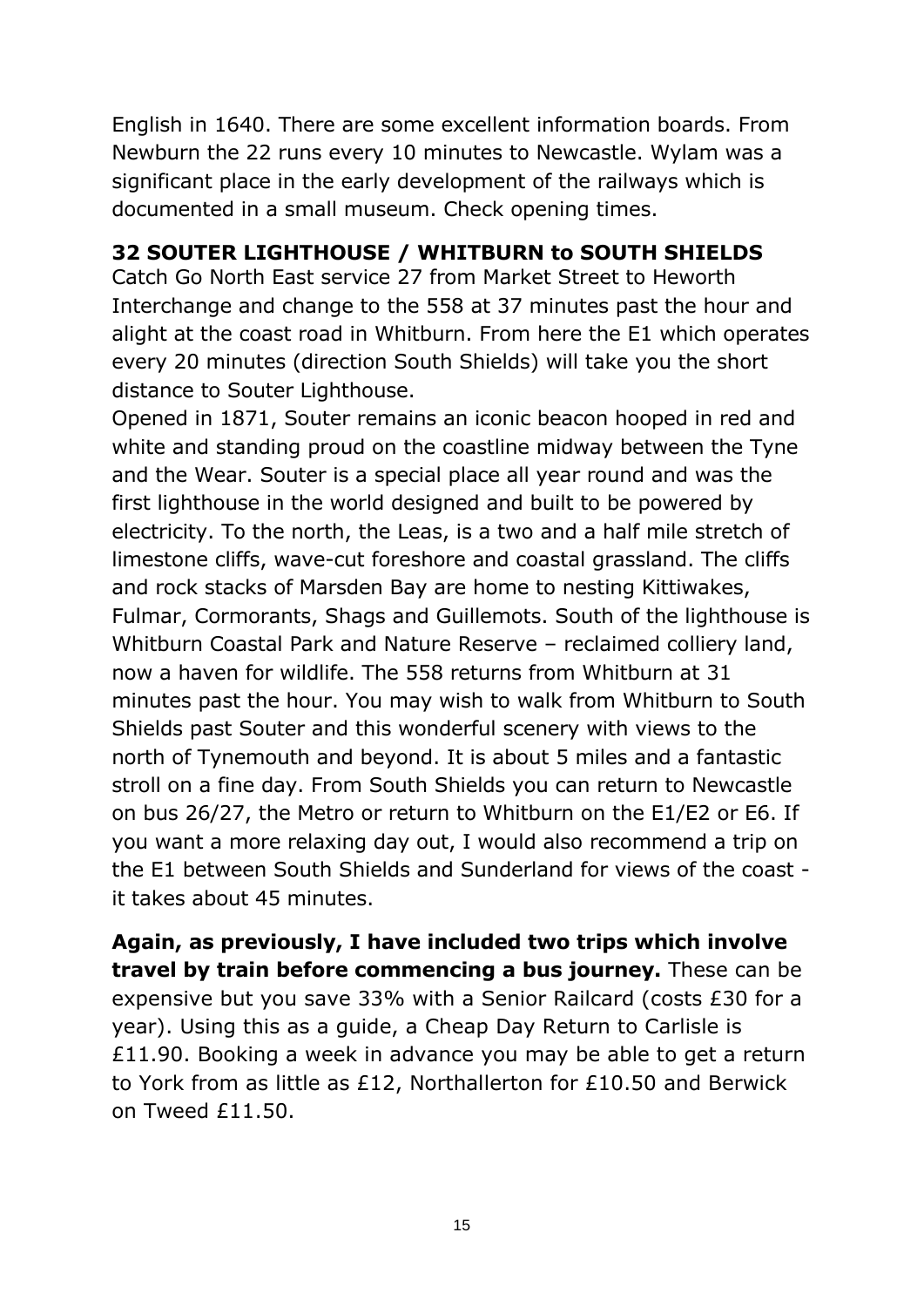English in 1640. There are some excellent information boards. From Newburn the 22 runs every 10 minutes to Newcastle. Wylam was a significant place in the early development of the railways which is documented in a small museum. Check opening times.

#### **32 SOUTER LIGHTHOUSE / WHITBURN to SOUTH SHIELDS**

Catch Go North East service 27 from Market Street to Heworth Interchange and change to the 558 at 37 minutes past the hour and alight at the coast road in Whitburn. From here the E1 which operates every 20 minutes (direction South Shields) will take you the short distance to Souter Lighthouse.

Opened in 1871, Souter remains an iconic beacon hooped in red and white and standing proud on the coastline midway between the Tyne and the Wear. Souter is a special place all year round and was the first lighthouse in the world designed and built to be powered by electricity. To the north, the Leas, is a two and a half mile stretch of limestone cliffs, wave-cut foreshore and coastal grassland. The cliffs and rock stacks of Marsden Bay are home to nesting Kittiwakes, Fulmar, Cormorants, Shags and Guillemots. South of the lighthouse is Whitburn Coastal Park and Nature Reserve – reclaimed colliery land, now a haven for wildlife. The 558 returns from Whitburn at 31 minutes past the hour. You may wish to walk from Whitburn to South Shields past Souter and this wonderful scenery with views to the north of Tynemouth and beyond. It is about 5 miles and a fantastic stroll on a fine day. From South Shields you can return to Newcastle on bus 26/27, the Metro or return to Whitburn on the E1/E2 or E6. If you want a more relaxing day out, I would also recommend a trip on the E1 between South Shields and Sunderland for views of the coast it takes about 45 minutes.

**Again, as previously, I have included two trips which involve travel by train before commencing a bus journey.** These can be expensive but you save 33% with a Senior Railcard (costs £30 for a year). Using this as a guide, a Cheap Day Return to Carlisle is £11.90. Booking a week in advance you may be able to get a return to York from as little as £12, Northallerton for £10.50 and Berwick on Tweed £11.50.